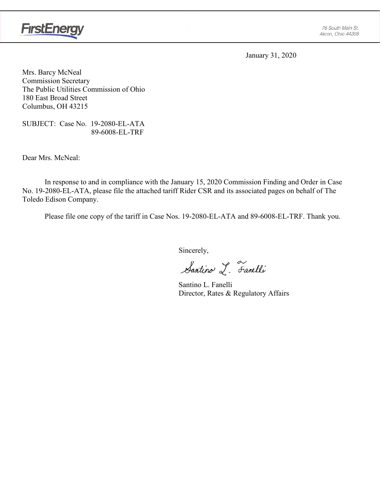

January 31, 2020

Mrs. Barcy McNeal Commission Secretary The Public Utilities Commission of Ohio 180 East Broad Street Columbus, OH 43215

SUBJECT: Case No. 19-2080-EL-ATA 89-6008-EL-TRF

Dear Mrs. McNeal:

In response to and in compliance with the January 15, 2020 Commission Finding and Order in Case No. 19-2080-EL-ATA, please file the attached tariff Rider CSR and its associated pages on behalf of The Toledo Edison Company.

Please file one copy of the tariff in Case Nos. 19-2080-EL-ATA and 89-6008-EL-TRF. Thank you.

Sincerely,

Santino L. Farelli

Santino L. Fanelli Director, Rates & Regulatory Affairs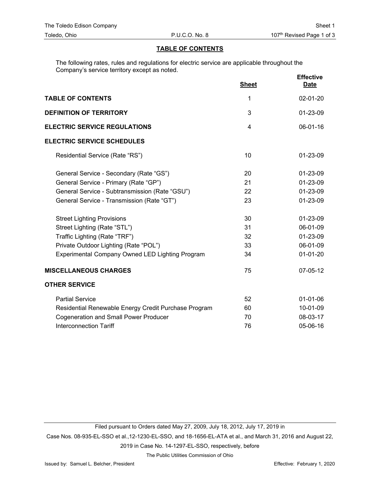### **TABLE OF CONTENTS**

The following rates, rules and regulations for electric service are applicable throughout the Company's service territory except as noted.

|                                                      | <b>Sheet</b> | <b>Effective</b><br>Date |
|------------------------------------------------------|--------------|--------------------------|
| <b>TABLE OF CONTENTS</b>                             | 1            | 02-01-20                 |
| <b>DEFINITION OF TERRITORY</b>                       | 3            | 01-23-09                 |
| <b>ELECTRIC SERVICE REGULATIONS</b>                  | 4            | 06-01-16                 |
| <b>ELECTRIC SERVICE SCHEDULES</b>                    |              |                          |
| Residential Service (Rate "RS")                      | 10           | 01-23-09                 |
| General Service - Secondary (Rate "GS")              | 20           | 01-23-09                 |
| General Service - Primary (Rate "GP")                | 21           | 01-23-09                 |
| General Service - Subtransmission (Rate "GSU")       | 22           | 01-23-09                 |
| General Service - Transmission (Rate "GT")           | 23           | 01-23-09                 |
| <b>Street Lighting Provisions</b>                    | 30           | 01-23-09                 |
| Street Lighting (Rate "STL")                         | 31           | 06-01-09                 |
| Traffic Lighting (Rate "TRF")                        | 32           | 01-23-09                 |
| Private Outdoor Lighting (Rate "POL")                | 33           | 06-01-09                 |
| Experimental Company Owned LED Lighting Program      | 34           | $01-01-20$               |
| <b>MISCELLANEOUS CHARGES</b>                         | 75           | 07-05-12                 |
| <b>OTHER SERVICE</b>                                 |              |                          |
| <b>Partial Service</b>                               | 52           | $01 - 01 - 06$           |
| Residential Renewable Energy Credit Purchase Program | 60           | 10-01-09                 |
| <b>Cogeneration and Small Power Producer</b>         | 70           | 08-03-17                 |
| <b>Interconnection Tariff</b>                        | 76           | 05-06-16                 |

Filed pursuant to Orders dated May 27, 2009, July 18, 2012, July 17, 2019 in

Case Nos. 08-935-EL-SSO et al.,12-1230-EL-SSO, and 18-1656-EL-ATA et al., and March 31, 2016 and August 22,

2019 in Case No. 14-1297-EL-SSO, respectively, before

The Public Utilities Commission of Ohio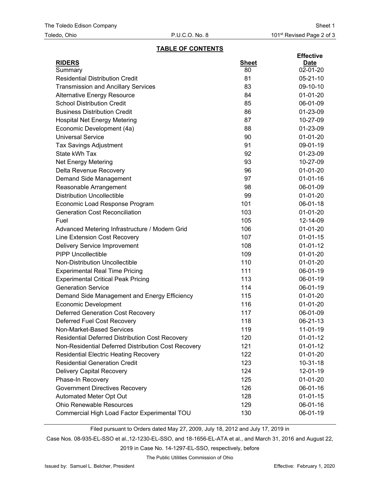#### **TABLE OF CONTENTS**

| <b>RIDERS</b><br><b>Sheet</b><br><b>Date</b><br>02-01-20<br>80<br>Summary<br><b>Residential Distribution Credit</b><br>81<br>$05 - 21 - 10$<br><b>Transmission and Ancillary Services</b><br>83<br>09-10-10 |  |
|-------------------------------------------------------------------------------------------------------------------------------------------------------------------------------------------------------------|--|
|                                                                                                                                                                                                             |  |
|                                                                                                                                                                                                             |  |
|                                                                                                                                                                                                             |  |
|                                                                                                                                                                                                             |  |
| 84<br>$01 - 01 - 20$<br><b>Alternative Energy Resource</b>                                                                                                                                                  |  |
| <b>School Distribution Credit</b><br>85<br>06-01-09                                                                                                                                                         |  |
| <b>Business Distribution Credit</b><br>86<br>01-23-09                                                                                                                                                       |  |
| 87<br><b>Hospital Net Energy Metering</b><br>10-27-09                                                                                                                                                       |  |
| Economic Development (4a)<br>88<br>01-23-09                                                                                                                                                                 |  |
| <b>Universal Service</b><br>90<br>$01 - 01 - 20$                                                                                                                                                            |  |
| 91<br>09-01-19<br><b>Tax Savings Adjustment</b>                                                                                                                                                             |  |
| State kWh Tax<br>92<br>01-23-09                                                                                                                                                                             |  |
| Net Energy Metering<br>93<br>10-27-09                                                                                                                                                                       |  |
| 96<br>$01 - 01 - 20$<br>Delta Revenue Recovery                                                                                                                                                              |  |
| Demand Side Management<br>97<br>$01 - 01 - 16$                                                                                                                                                              |  |
| 98<br>06-01-09<br>Reasonable Arrangement                                                                                                                                                                    |  |
| <b>Distribution Uncollectible</b><br>99<br>$01-01-20$                                                                                                                                                       |  |
| 101<br>Economic Load Response Program<br>06-01-18                                                                                                                                                           |  |
| 103<br><b>Generation Cost Reconciliation</b><br>$01-01-20$                                                                                                                                                  |  |
| Fuel<br>105<br>12-14-09                                                                                                                                                                                     |  |
| 106<br>$01-01-20$<br>Advanced Metering Infrastructure / Modern Grid                                                                                                                                         |  |
| Line Extension Cost Recovery<br>107<br>$01 - 01 - 15$                                                                                                                                                       |  |
| 108<br>$01-01-12$<br>Delivery Service Improvement                                                                                                                                                           |  |
| <b>PIPP Uncollectible</b><br>109<br>$01 - 01 - 20$                                                                                                                                                          |  |
| Non-Distribution Uncollectible<br>110<br>$01-01-20$                                                                                                                                                         |  |
| <b>Experimental Real Time Pricing</b><br>111<br>06-01-19                                                                                                                                                    |  |
| <b>Experimental Critical Peak Pricing</b><br>113<br>06-01-19                                                                                                                                                |  |
| <b>Generation Service</b><br>114<br>06-01-19                                                                                                                                                                |  |
| 115<br>$01 - 01 - 20$<br>Demand Side Management and Energy Efficiency                                                                                                                                       |  |
| <b>Economic Development</b><br>116<br>$01 - 01 - 20$                                                                                                                                                        |  |
| <b>Deferred Generation Cost Recovery</b><br>06-01-09<br>117                                                                                                                                                 |  |
| Deferred Fuel Cost Recovery<br>118<br>06-21-13                                                                                                                                                              |  |
| 119<br>Non-Market-Based Services<br>11-01-19                                                                                                                                                                |  |
| <b>Residential Deferred Distribution Cost Recovery</b><br>120<br>$01-01-12$                                                                                                                                 |  |
| Non-Residential Deferred Distribution Cost Recovery<br>121<br>$01-01-12$                                                                                                                                    |  |
| <b>Residential Electric Heating Recovery</b><br>122<br>$01 - 01 - 20$                                                                                                                                       |  |
| <b>Residential Generation Credit</b><br>123<br>$10 - 31 - 18$                                                                                                                                               |  |
| <b>Delivery Capital Recovery</b><br>124<br>12-01-19                                                                                                                                                         |  |
| Phase-In Recovery<br>125<br>01-01-20                                                                                                                                                                        |  |
| <b>Government Directives Recovery</b><br>126<br>06-01-16                                                                                                                                                    |  |
| Automated Meter Opt Out<br>128<br>$01-01-15$                                                                                                                                                                |  |
| <b>Ohio Renewable Resources</b><br>129<br>06-01-16                                                                                                                                                          |  |
| Commercial High Load Factor Experimental TOU<br>06-01-19<br>130                                                                                                                                             |  |

Filed pursuant to Orders dated May 27, 2009, July 18, 2012 and July 17, 2019 in

Case Nos. 08-935-EL-SSO et al.,12-1230-EL-SSO, and 18-1656-EL-ATA et al., and March 31, 2016 and August 22,

2019 in Case No. 14-1297-EL-SSO, respectively, before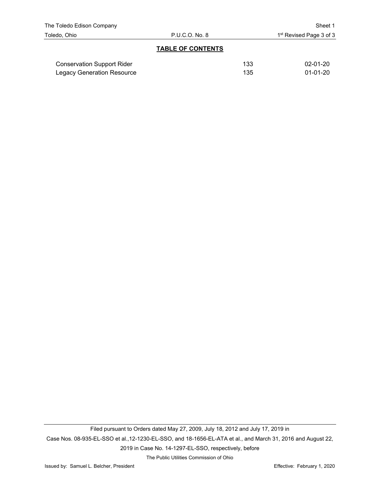#### **TABLE OF CONTENTS**

| <b>Conservation Support Rider</b> | 133 | $02 - 01 - 20$ |
|-----------------------------------|-----|----------------|
| Legacy Generation Resource        | 135 | 01-01-20       |

Filed pursuant to Orders dated May 27, 2009, July 18, 2012 and July 17, 2019 in Case Nos. 08-935-EL-SSO et al.,12-1230-EL-SSO, and 18-1656-EL-ATA et al., and March 31, 2016 and August 22, 2019 in Case No. 14-1297-EL-SSO, respectively, before

The Public Utilities Commission of Ohio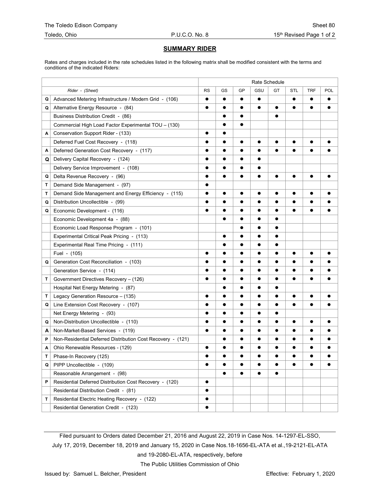#### **SUMMARY RIDER**

Rates and charges included in the rate schedules listed in the following matrix shall be modified consistent with the terms and conditions of the indicated Riders:

|   |                                                             | Rate Schedule |           |           |           |           |           |            |           |
|---|-------------------------------------------------------------|---------------|-----------|-----------|-----------|-----------|-----------|------------|-----------|
|   | Rider - (Sheet)                                             | <b>RS</b>     | GS        | GP        | GSU       | GT        | STL       | <b>TRF</b> | POL       |
| Q | Advanced Metering Infrastructure / Modern Grid - (106)      | $\bullet$     | $\bullet$ | $\bullet$ | $\bullet$ |           | $\bullet$ | $\bullet$  |           |
| Q | Alternative Energy Resource - (84)                          | $\bullet$     | $\bullet$ | $\bullet$ | $\bullet$ | $\bullet$ | $\bullet$ | $\bullet$  | $\bullet$ |
|   | Business Distribution Credit - (86)                         |               | $\bullet$ | $\bullet$ |           |           |           |            |           |
|   | Commercial High Load Factor Experimental TOU - (130)        |               | $\bullet$ | $\bullet$ |           |           |           |            |           |
| A | Conservation Support Rider - (133)                          | $\bullet$     | $\bullet$ |           |           |           |           |            |           |
|   | Deferred Fuel Cost Recovery - (118)                         |               |           | $\bullet$ |           |           |           |            |           |
| Α | Deferred Generation Cost Recovery - (117)                   |               | $\bullet$ | $\bullet$ | $\bullet$ | $\bullet$ | $\bullet$ | e          |           |
| Q | Delivery Capital Recovery - (124)                           | $\bullet$     | $\bullet$ | $\bullet$ | $\bullet$ |           |           |            |           |
|   | Delivery Service Improvement - (108)                        |               | $\bullet$ |           |           |           |           |            |           |
| Q | Delta Revenue Recovery - (96)                               |               | $\bullet$ | $\bullet$ | $\bullet$ | $\bullet$ | $\bullet$ | $\bullet$  | $\bullet$ |
| т | Demand Side Management - (97)                               | $\bullet$     |           |           |           |           |           |            |           |
| т | Demand Side Management and Energy Efficiency - (115)        |               | $\bullet$ | $\bullet$ |           |           | $\bullet$ | ●          |           |
| Q | Distribution Uncollectible - (99)                           |               | $\bullet$ |           |           |           |           |            |           |
| Q | Economic Development - (116)                                | $\bullet$     | $\bullet$ | $\bullet$ | $\bullet$ | $\bullet$ | $\bullet$ | $\bullet$  |           |
|   | Economic Development 4a - (88)                              |               | $\bullet$ | $\bullet$ | $\bullet$ | $\bullet$ |           |            |           |
|   | Economic Load Response Program - (101)                      |               |           |           |           |           |           |            |           |
|   | Experimental Critical Peak Pricing - (113)                  |               | $\bullet$ | $\bullet$ | $\bullet$ | $\bullet$ |           |            |           |
|   | Experimental Real Time Pricing - (111)                      |               | $\bullet$ | $\bullet$ |           | $\bullet$ |           |            |           |
|   | Fuel - (105)                                                |               |           |           |           |           |           |            |           |
| Q | Generation Cost Reconciliation - (103)                      |               | $\bullet$ | $\bullet$ | $\bullet$ | $\bullet$ | $\bullet$ |            |           |
|   | Generation Service - (114)                                  |               | $\bullet$ | $\bullet$ | $\bullet$ | $\bullet$ | $\bullet$ | $\bullet$  | $\bullet$ |
| Т | Government Directives Recovery - (126)                      |               | $\bullet$ | $\bullet$ |           | $\bullet$ | $\bullet$ | ●          |           |
|   | Hospital Net Energy Metering - (87)                         |               | $\bullet$ | $\bullet$ |           | $\bullet$ |           |            |           |
| т | Legacy Generation Resource - (135)                          | $\bullet$     | $\bullet$ | $\bullet$ | $\bullet$ | $\bullet$ | $\bullet$ | $\bullet$  |           |
| Q | Line Extension Cost Recovery - (107)                        | $\bullet$     | $\bullet$ | $\bullet$ | $\bullet$ | $\bullet$ | $\bullet$ | $\bullet$  |           |
|   | Net Energy Metering - (93)                                  |               |           | $\bullet$ | $\bullet$ |           |           |            |           |
| Q | Non-Distribution Uncollectible - (110)                      |               | $\bullet$ | $\bullet$ | $\bullet$ | $\bullet$ | $\bullet$ | $\bullet$  | $\bullet$ |
| A | Non-Market-Based Services - (119)                           | $\bullet$     | $\bullet$ | $\bullet$ | $\bullet$ | $\bullet$ | $\bullet$ | $\bullet$  | $\bullet$ |
| Р | Non-Residential Deferred Distribution Cost Recovery - (121) |               | $\bullet$ |           | e         |           | $\bullet$ | 0          |           |
| Α | Ohio Renewable Resources - (129)                            | $\bullet$     | $\bullet$ | $\bullet$ | $\bullet$ |           | $\bullet$ |            | ●         |
| T | Phase-In Recovery (125)                                     |               |           |           |           |           |           |            |           |
| Q | PIPP Uncollectible - (109)                                  |               |           |           |           |           |           |            |           |
|   | Reasonable Arrangement - (98)                               |               | $\bullet$ | $\bullet$ |           | $\bullet$ |           |            |           |
| P | Residential Deferred Distribution Cost Recovery - (120)     | $\bullet$     |           |           |           |           |           |            |           |
|   | Residential Distribution Credit - (81)                      |               |           |           |           |           |           |            |           |
| т | Residential Electric Heating Recovery - (122)               | $\bullet$     |           |           |           |           |           |            |           |
|   | Residential Generation Credit - (123)                       | $\bullet$     |           |           |           |           |           |            |           |

Filed pursuant to Orders dated December 21, 2016 and August 22, 2019 in Case Nos. 14-1297-EL-SSO, July 17, 2019, December 18, 2019 and January 15, 2020 in Case Nos.18-1656-EL-ATA et al.,19-2121-EL-ATA

and 19-2080-EL-ATA, respectively, before

The Public Utilities Commission of Ohio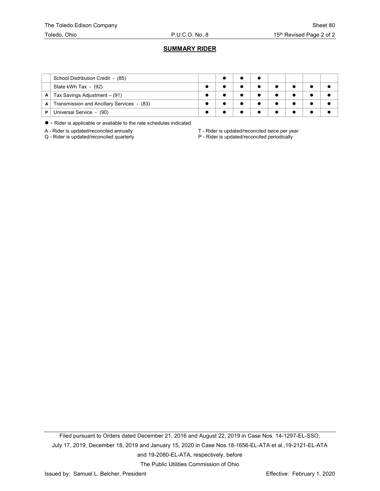# **SUMMARY RIDER**

|   | School Distribution Credit - (85)          |  |  |  |  |
|---|--------------------------------------------|--|--|--|--|
|   | State kWh Tax - (92)                       |  |  |  |  |
| A | Tax Savings Adjustment $-$ (91)            |  |  |  |  |
| A | Transmission and Ancillary Services - (83) |  |  |  |  |
| Р | Universal Service - (90)                   |  |  |  |  |

- Rider is applicable or available to the rate schedules indicated

A - Rider is updated/reconciled annually  $A -$  Rider is updated/reconciled twice per year  $Q -$  Rider is updated/reconciled periodically

P - Rider is updated/reconciled periodically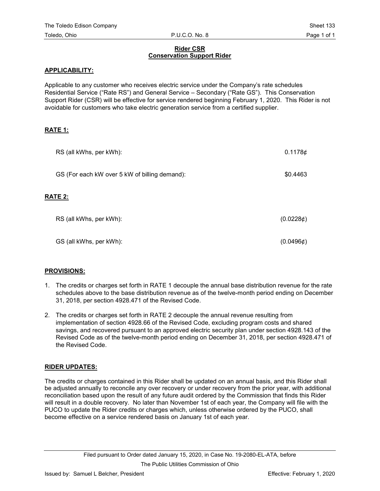# **Rider CSR Conservation Support Rider**

#### **APPLICABILITY:**

Applicable to any customer who receives electric service under the Company's rate schedules Residential Service ("Rate RS") and General Service – Secondary ("Rate GS"). This Conservation Support Rider (CSR) will be effective for service rendered beginning February 1, 2020. This Rider is not avoidable for customers who take electric generation service from a certified supplier.

# **RATE 1:**

| RS (all kWhs, per kWh):                       | 0.1178c        |
|-----------------------------------------------|----------------|
| GS (For each kW over 5 kW of billing demand): | \$0.4463       |
| <b>RATE 2:</b>                                |                |
| RS (all kWhs, per kWh):                       | (0.0228)       |
| GS (all kWhs, per kWh):                       | $(0.0496\phi)$ |

# **PROVISIONS:**

- 1. The credits or charges set forth in RATE 1 decouple the annual base distribution revenue for the rate schedules above to the base distribution revenue as of the twelve-month period ending on December 31, 2018, per section 4928.471 of the Revised Code.
- 2. The credits or charges set forth in RATE 2 decouple the annual revenue resulting from implementation of section 4928.66 of the Revised Code, excluding program costs and shared savings, and recovered pursuant to an approved electric security plan under section 4928.143 of the Revised Code as of the twelve-month period ending on December 31, 2018, per section 4928.471 of the Revised Code.

# **RIDER UPDATES:**

The credits or charges contained in this Rider shall be updated on an annual basis, and this Rider shall be adjusted annually to reconcile any over recovery or under recovery from the prior year, with additional reconciliation based upon the result of any future audit ordered by the Commission that finds this Rider will result in a double recovery. No later than November 1st of each year, the Company will file with the PUCO to update the Rider credits or charges which, unless otherwise ordered by the PUCO, shall become effective on a service rendered basis on January 1st of each year.